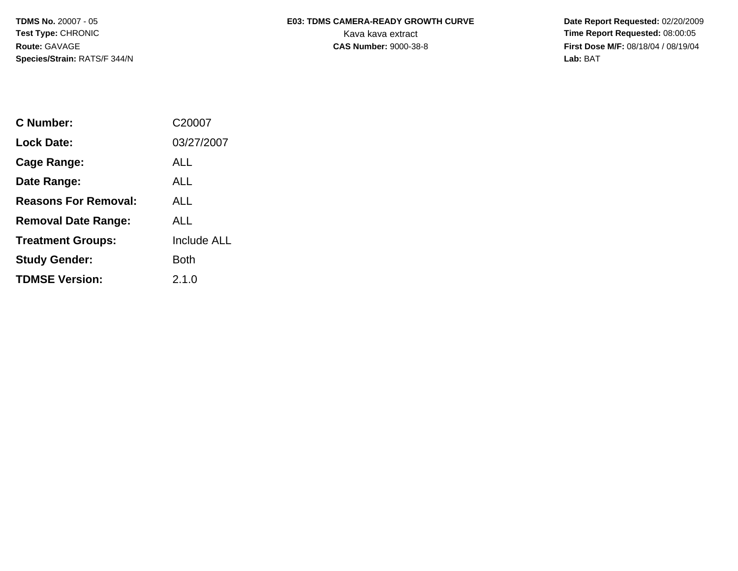**Species/Strain:** RATS/F 344/N **Lab:** BAT

## **TDMS No. 20007 - 05 E03: TDMS CAMERA-READY GROWTH CURVE** Date Report Requested: 02/20/2009 **Test Type: CHRONIC** CHRONIC CHRONIC CHRONIC CHARGE CHARGE CHARGE CHARGE CHARGE CHARGE CHARGE CHARGE CHARGE CHARGE CHARGE CHARGE CHARGE CHARGE CHARGE CHARGE CHARGE CHARGE CHARGE CHARGE CHARGE CHARGE CHARGE CHARGE CHARGE CH

**Route:** GAVAGE **CAS Number:** 9000-38-8 **First Dose M/F:** 08/18/04 / 08/19/04

| C Number:                   | C20007             |
|-----------------------------|--------------------|
| Lock Date:                  | 03/27/2007         |
| Cage Range:                 | ALL                |
| Date Range:                 | AI I               |
| <b>Reasons For Removal:</b> | AI I               |
| <b>Removal Date Range:</b>  | AI I               |
| <b>Treatment Groups:</b>    | <b>Include ALL</b> |
| <b>Study Gender:</b>        | Both               |
| <b>TDMSE Version:</b>       | 2.1.0              |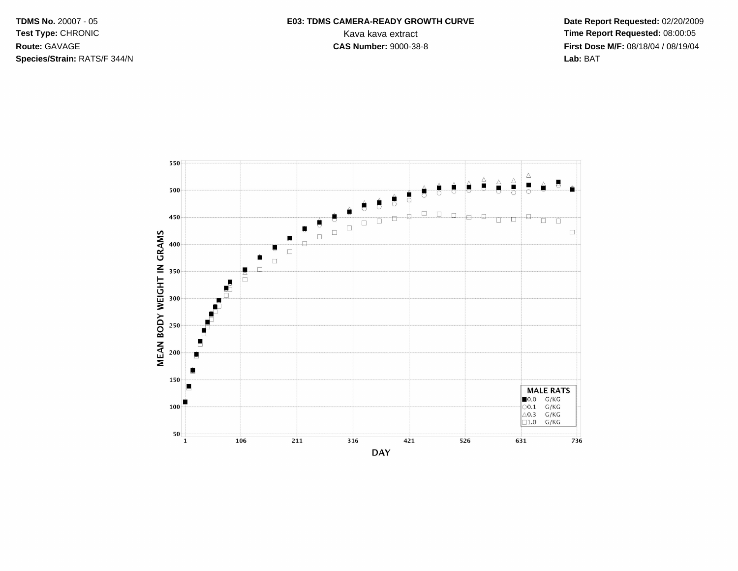**TDMS No. 20007 - 05** Test Type: CHRONIC Route: GAVAGE Species/Strain: RATS/F 344/N

## E03: TDMS CAMERA-READY GROWTH CURVE Kava kava extract **CAS Number: 9000-38-8**

Date Report Requested: 02/20/2009 Time Report Requested: 08:00:05 First Dose M/F: 08/18/04 / 08/19/04 Lab: BAT